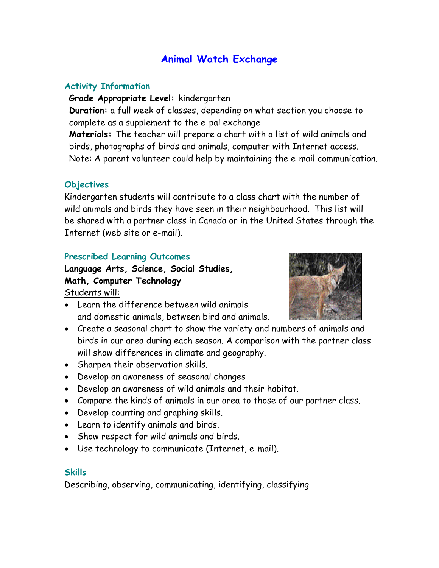# **Animal Watch Exchange**

#### **Activity Information**

**Grade Appropriate Level:** kindergarten **Duration:** a full week of classes, depending on what section you choose to complete as a supplement to the e-pal exchange **Materials:** The teacher will prepare a chart with a list of wild animals and birds, photographs of birds and animals, computer with Internet access. Note: A parent volunteer could help by maintaining the e-mail communication.

#### **Objectives**

Kindergarten students will contribute to a class chart with the number of wild animals and birds they have seen in their neighbourhood. This list will be shared with a partner class in Canada or in the United States through the Internet (web site or e-mail).

#### **Prescribed Learning Outcomes**

**Language Arts, Science, Social Studies, Math, Computer Technology**  Students will:

- Learn the difference between wild animals and domestic animals, between bird and animals.
- Create a seasonal chart to show the variety and numbers of animals and birds in our area during each season. A comparison with the partner class will show differences in climate and geography.
- Sharpen their observation skills.
- Develop an awareness of seasonal changes
- Develop an awareness of wild animals and their habitat.
- Compare the kinds of animals in our area to those of our partner class.
- Develop counting and graphing skills.
- Learn to identify animals and birds.
- Show respect for wild animals and birds.
- Use technology to communicate (Internet, e-mail).

#### **Skills**

Describing, observing, communicating, identifying, classifying

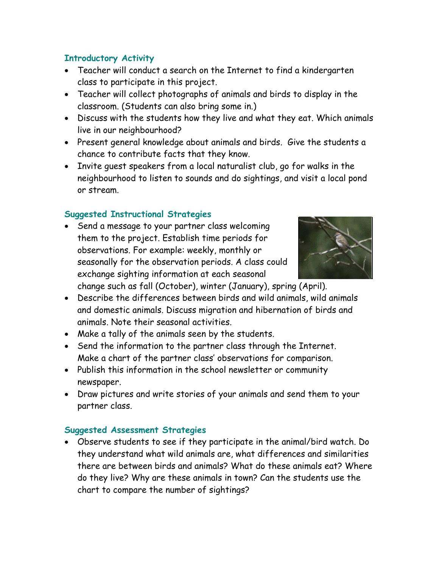# **Introductory Activity**

- Teacher will conduct a search on the Internet to find a kindergarten class to participate in this project.
- Teacher will collect photographs of animals and birds to display in the classroom. (Students can also bring some in.)
- Discuss with the students how they live and what they eat. Which animals live in our neighbourhood?
- Present general knowledge about animals and birds. Give the students a chance to contribute facts that they know.
- Invite guest speakers from a local naturalist club, go for walks in the neighbourhood to listen to sounds and do sightings, and visit a local pond or stream.

# **Suggested Instructional Strategies**

• Send a message to your partner class welcoming them to the project. Establish time periods for observations. For example: weekly, monthly or seasonally for the observation periods. A class could exchange sighting information at each seasonal



change such as fall (October), winter (January), spring (April).

- Describe the differences between birds and wild animals, wild animals and domestic animals. Discuss migration and hibernation of birds and animals. Note their seasonal activities.
- Make a tally of the animals seen by the students.
- Send the information to the partner class through the Internet. Make a chart of the partner class' observations for comparison.
- Publish this information in the school newsletter or community newspaper.
- Draw pictures and write stories of your animals and send them to your partner class.

### **Suggested Assessment Strategies**

• Observe students to see if they participate in the animal/bird watch. Do they understand what wild animals are, what differences and similarities there are between birds and animals? What do these animals eat? Where do they live? Why are these animals in town? Can the students use the chart to compare the number of sightings?